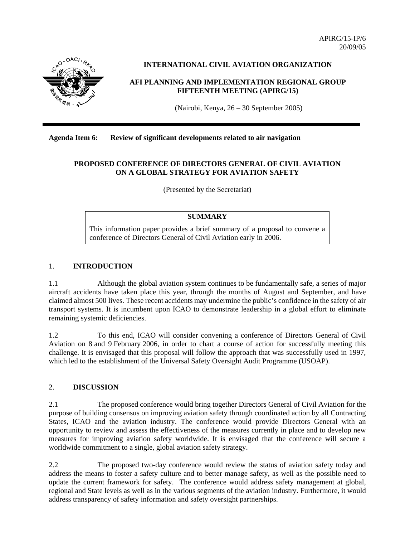APIRG/15-IP/6 20/09/05



## **INTERNATIONAL CIVIL AVIATION ORGANIZATION**

### **AFI PLANNING AND IMPLEMENTATION REGIONAL GROUP FIFTEENTH MEETING (APIRG/15)**

(Nairobi, Kenya, 26 – 30 September 2005)

### **Agenda Item 6: Review of significant developments related to air navigation**

## **PROPOSED CONFERENCE OF DIRECTORS GENERAL OF CIVIL AVIATION ON A GLOBAL STRATEGY FOR AVIATION SAFETY**

(Presented by the Secretariat)

## **SUMMARY**

This information paper provides a brief summary of a proposal to convene a conference of Directors General of Civil Aviation early in 2006.

#### 1. **INTRODUCTION**

1.1 Although the global aviation system continues to be fundamentally safe, a series of major aircraft accidents have taken place this year, through the months of August and September, and have claimed almost 500 lives. These recent accidents may undermine the public's confidence in the safety of air transport systems. It is incumbent upon ICAO to demonstrate leadership in a global effort to eliminate remaining systemic deficiencies.

1.2 To this end, ICAO will consider convening a conference of Directors General of Civil Aviation on 8 and 9 February 2006, in order to chart a course of action for successfully meeting this challenge. It is envisaged that this proposal will follow the approach that was successfully used in 1997, which led to the establishment of the Universal Safety Oversight Audit Programme (USOAP).

#### 2. **DISCUSSION**

2.1 The proposed conference would bring together Directors General of Civil Aviation for the purpose of building consensus on improving aviation safety through coordinated action by all Contracting States, ICAO and the aviation industry. The conference would provide Directors General with an opportunity to review and assess the effectiveness of the measures currently in place and to develop new measures for improving aviation safety worldwide. It is envisaged that the conference will secure a worldwide commitment to a single, global aviation safety strategy.

2.2 The proposed two-day conference would review the status of aviation safety today and address the means to foster a safety culture and to better manage safety, as well as the possible need to update the current framework for safety. The conference would address safety management at global, regional and State levels as well as in the various segments of the aviation industry. Furthermore, it would address transparency of safety information and safety oversight partnerships.